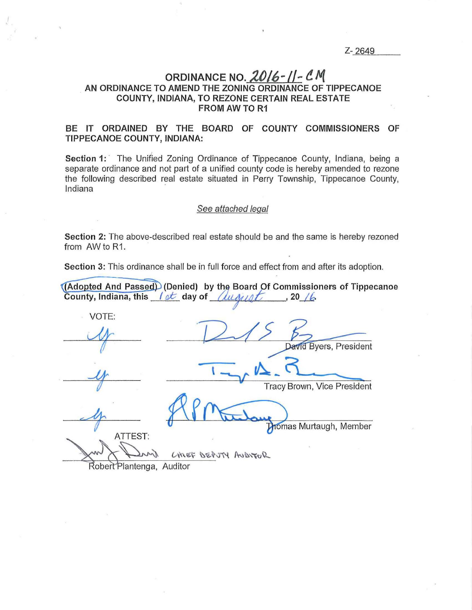Z-2649

## **ORDINANCE NO. 2016-11-CM AN ORDINANCE TO AMEND THE ZONING ORDINANCE OF TIPPECANOE COUNTY, INDIANA, TO REZONE CERTAIN REAL ESTATE FROM AWTO R1**

## **BE IT ORDAINED BY THE BOARD OF COUNTY COMMISSIONERS OF TIPPECANOE COUNTY, INDIANA:**

**Section 1:** The Unified Zoning Ordinance of Tippecanoe County, Indiana, being a separate ordinance and not part of a unified county code is hereby amended to rezone the following described real estate situated in Perry Township, Tippecanoe County, **Indiana** 

#### See attached legal

**Section 2:** The above-described real estate should be and the same is hereby rezoned from AW to R1.

**Section** 3: This ordinance shall be in full force and effect from and after its adoption.

| <u>OCUMENTI OF FINO ORIGINAL SHAH DU III IMI IORO ANN CHUUL IIONI ANN ANU INO AUDINIUI.</u> |  |  |
|---------------------------------------------------------------------------------------------|--|--|
|                                                                                             |  |  |
| (Adopted And Passed) (Denied) by the Board Of Commissioners of Tippecanoe                   |  |  |
| County, Indiana, this $\int_{0}^{x} dx$ day of $\int_{0}^{x} dx$ , 20 /6                    |  |  |
|                                                                                             |  |  |

VOTE: **David Byers, President** ~ I --.\_..,/' ~ - ()\_\_ .. \_\_ .......... **Tracy Brown, Vice President Thomas Murtaugh, Member** ATTEST: ATTEST:<br>And Chier behry Averel<br>Robert Plantenga, Auditor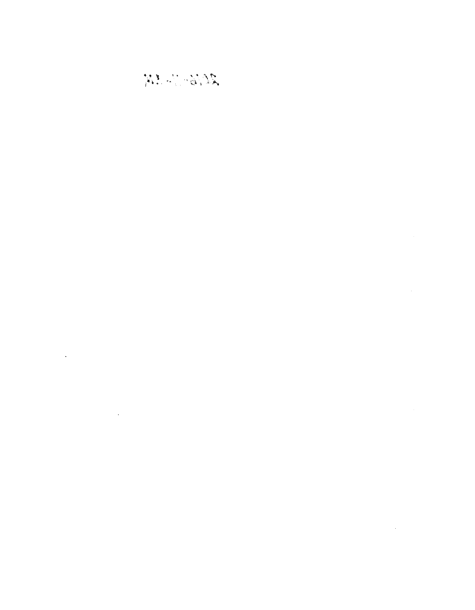# Alterial

 $\mathcal{L}^{\text{max}}_{\text{max}}$  ,  $\mathcal{L}^{\text{max}}_{\text{max}}$ 

 $\mathcal{L}(\mathcal{L})$  . The set of  $\mathcal{L}(\mathcal{L})$ 

 $\label{eq:2.1} \frac{1}{\sqrt{2}}\int_{\mathbb{R}^3}\frac{1}{\sqrt{2}}\left(\frac{1}{\sqrt{2}}\right)^2\frac{1}{\sqrt{2}}\left(\frac{1}{\sqrt{2}}\right)^2\frac{1}{\sqrt{2}}\left(\frac{1}{\sqrt{2}}\right)^2.$  $\label{eq:2.1} \frac{1}{\sqrt{2}}\int_{\mathbb{R}^3}\frac{1}{\sqrt{2}}\left(\frac{1}{\sqrt{2}}\right)^2\frac{1}{\sqrt{2}}\left(\frac{1}{\sqrt{2}}\right)^2\frac{1}{\sqrt{2}}\left(\frac{1}{\sqrt{2}}\right)^2.$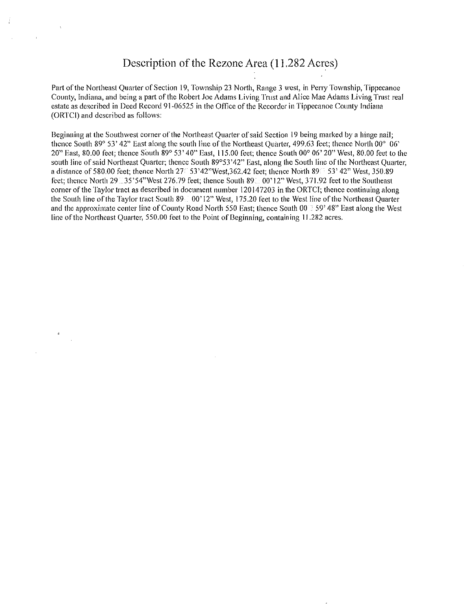## Description of the Rezone Area (11.282 Acres)

Part of the Northeast Quarter of Section 19, Township 23 North, Range 3 west, in Perry Township, Tippecanoe County, Indiana, and being a part of the Robert Joe Adams Living Trust and Alice Mae Adams Living Trust real estate as described in Deed Record 91-06525 in the Office of the Recorder in Tippecanoe County Indiana (ORTCI) and described as follows:

Beginning at the Southwest corner of the Northeast Quarter of said Section 19 being marked by a hinge nail; thence South 89° 53' 42" East along the south line of the Northeast Quarter, 499.63 feet; thence North 00° 06' 20" East, 80.00 feet; thence South 89° 53' 40" East, 115.00 feet; thence South 00° 06' 20" West, 80.00 feet to the south line of said Northeast Quarter; thence South 89°53'42" East, along the South line of the Northeast Quarter, a distance of 580.00 feet; thence North 27  $53'42''$ West,362.42 feet; thence North 89  $\div$  53' 42" West, 350.89 feet; thence North 29<sup>-35'</sup>54" West 276.79 feet; thence South 89. 00'12" West, 371.92 feet to the Southeast corner of the Taylor tract as described in document number 120147203 in the ORTCI; thence continuing along the South line of the Taylor tract South 89 00'12" West, 175.20 feet to the West line of the Northeast Quarter and the approximate center line of County Road North 550 East; thence South 00  $\degree$  59' 48" East along the West line of the Northeast Quarter, 550.00 feet to the Point of Beginning, containing 11 .282 acres.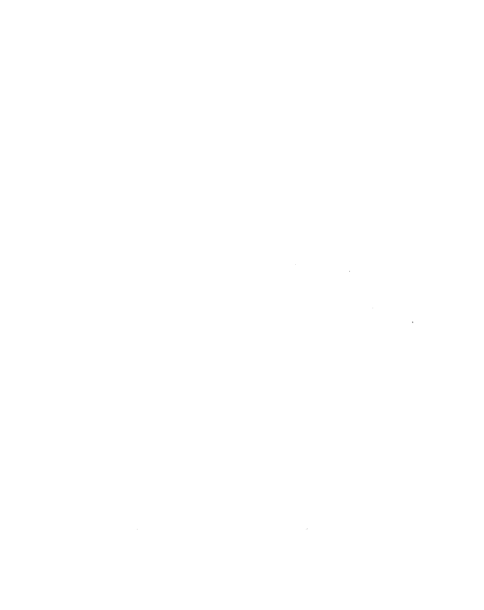$\label{eq:2.1} \frac{1}{\sqrt{2\pi}}\int_{0}^{\infty}\frac{1}{\sqrt{2\pi}}\int_{0}^{\infty}\frac{1}{\sqrt{2\pi}}\int_{0}^{\infty}\frac{1}{\sqrt{2\pi}}\int_{0}^{\infty}\frac{1}{\sqrt{2\pi}}\int_{0}^{\infty}\frac{1}{\sqrt{2\pi}}\int_{0}^{\infty}\frac{1}{\sqrt{2\pi}}\int_{0}^{\infty}\frac{1}{\sqrt{2\pi}}\int_{0}^{\infty}\frac{1}{\sqrt{2\pi}}\int_{0}^{\infty}\frac{1}{\sqrt{2\pi}}\int_{0}^{\infty}\$ 

 $\mathcal{L}(\mathcal{L}(\mathcal{L}))$  and the set of the set of the set of the set of the set of the set of the set of the set of the set of the set of the set of the set of the set of the set of the set of the set of the set of the set o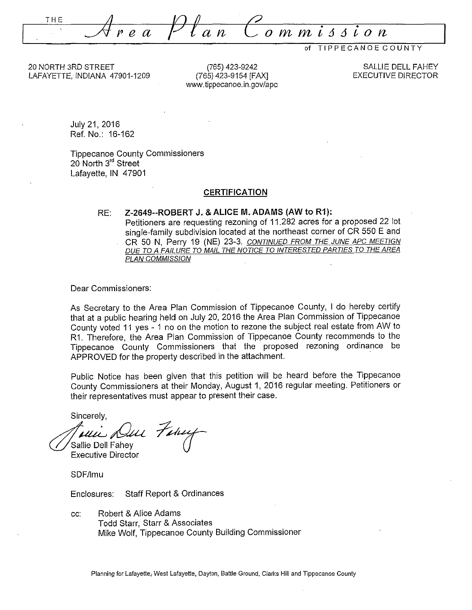$\begin{array}{c} \hline \text{THE} \end{array}$  *Area*  $Pl$  *an Commission* 

of TIPPECANOE COUNTY

20 NORTH 3RD STREET LAFAYETTE, IND/ANA 47901-1209

(765) 423-9242 (765) 423-9154 [FAX] www.tippecanoe.in.gov/apc

SALLIE DELL FAHEY EXECUTIVE DIRECTOR

July 21, 2016 Ref. No.: 16-162

Tippecanoe County Commissioners 20 North 3<sup>rd</sup> Street Lafayette, IN 47901

#### **CERTIFICATION**

RE: **Z-2649--ROBERT J. & ALICE M. ADAMS (AW to R1):**  Petitioners are requesting rezoning of 11.282 acres for a proposed 22 lot single-family subdivision located at the northeast corner of CR 550 E and CR 50 N, Perry 19 (NE) 23-3. CONTINUED FROM THE JUNE APC MEETIGN DUE TO A FAILURE TO MAIL THE NOTICE TO INTERESTED PARTIES TO THE AREA PLAN COMMISSION

Dear Commissioners:

As Secretary to the Area Plan Commission of Tippecanoe County, I do hereby certify that at a public hearing held on July 20, 2016 the Area Plan Commission of Tippecanoe County voted 11 yes - 1 no on the motion to rezone the subject real estate from AW to R1. Therefore, the Area Plan Commission of Tippecanoe County recommends to the Tippecanoe County Commissioners that the proposed rezoning ordinance be APPROVED for the property described in the attachment.

Public Notice has been given that this petition will be heard before the Tippecanoe County Commissioners at their Monday, August **1,** 2016 regular meeting. Petitioners or their representatives must appear to present their case.

Sincerely,<br>Julie Dur Felley  $\bigvee$ Sallie Dell Fahey  $\bigvee$ 

Executive Director

SDF/lmu

Enclosures: Staff Report & Ordinances

cc: Robert & Alice Adams Todd Starr, Starr & Associates Mike Wolf, Tippecanoe County Building Commissioner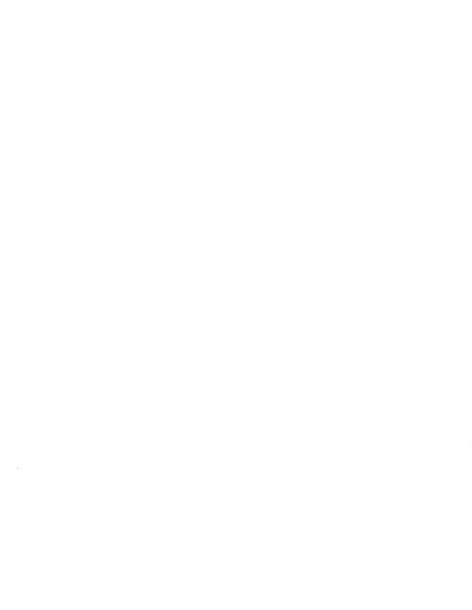$\mathcal{L}(\mathcal{A})$  and  $\mathcal{L}(\mathcal{A})$  .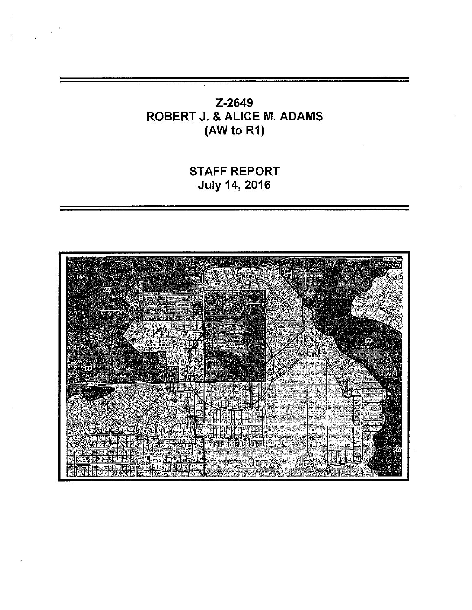# Z-2649 ROBERT J. & ALICE M. ADAMS (AW to R1)

 $\sim 10$ 

# STAFF REPORT July 14, 2016

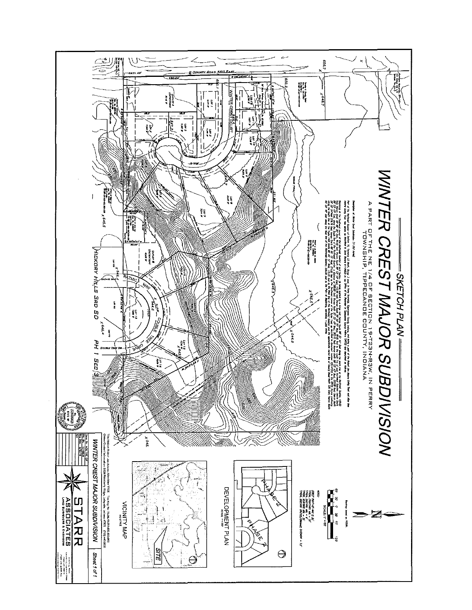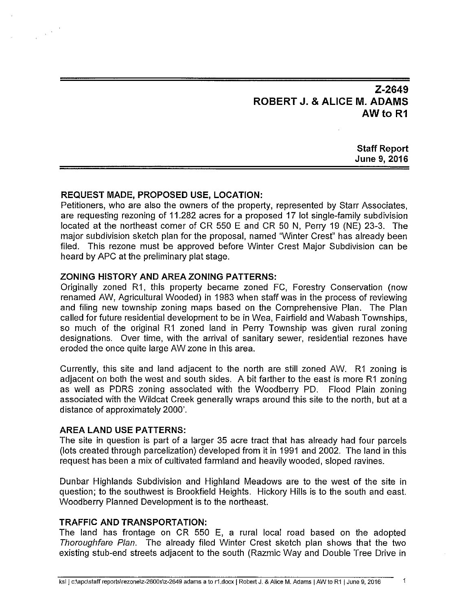## **Z-2649 ROBERT J. & ALICE M. ADAMS AW to R1**

**Staff Report June 9, 2016** 

## **REQUEST MADE, PROPOSED USE, LOCATION:**

 $\chi$   $\rightarrow$ 

Petitioners, who are also the owners of the property, represented by Starr Associates, are requesting rezoning of 11.282 acres for a proposed 17 lot single-family subdivision located at the northeast corner of CR 550 E and CR 50 N, Perry 19 (NE) 23-3. The major subdivision sketch plan for the proposal, named "Winter Crest" has already been filed. This rezone must be approved before Winter Crest Major Subdivision can be heard by APC at the preliminary plat stage.

## **ZONING HISTORY AND AREA ZONING PATTERNS:**

Originally zoned R1, this property became zoned FC, Forestry Conservation (now renamed AW, Agricultural Wooded) in 1983 when staff was in the process of reviewing and filing new township zoning maps based on the Comprehensive Plan. The Plan called for future residential development to be in Wea, Fairfield and Wabash Townships, so much of the original R1 zoned land in Perry Township was given rural zoning designations. Over time, with the arrival of sanitary sewer, residential rezones have eroded the once quite large AW zone in this area.

Currently, this site and land adjacent to the north are still zoned AW. R1 zoning is adjacent on both the west and south sides. A bit farther to the east is more R1 zoning as well as PDRS zoning associated with the Woodberry PD. Flood Plain zoning associated with the Wildcat Creek generally wraps around this site to the north, but at a distance of approximately 2000'.

## **AREA LAND USE PATTERNS:**

The site in question is part of a larger 35 acre tract that has already had four parcels (lots created through parcelization) developed from it in 1991 and 2002. The land in this request has been a mix of cultivated farmland and heavily wooded, sloped ravines.

Dunbar Highlands Subdivision and Highland Meadows are to the west of the site in question; to the southwest is Brookfield Heights. Hickory Hills is to the south and east. Woodberry Planned Development is to the northeast.

## **TRAFFIC AND TRANSPORTATION:**

The land has frontage on CR 550 E, a rural local road based on the adopted Thoroughfare Plan. The already filed Winter Crest sketch plan shows that the two existing stub-end streets adjacent to the south (Razmic Way and Double Tree Drive in

 $\overline{1}$